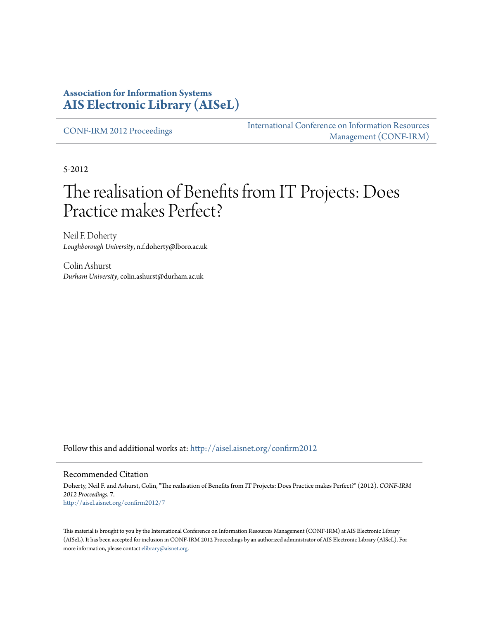## **Association for Information Systems [AIS Electronic Library \(AISeL\)](http://aisel.aisnet.org?utm_source=aisel.aisnet.org%2Fconfirm2012%2F7&utm_medium=PDF&utm_campaign=PDFCoverPages)**

[CONF-IRM 2012 Proceedings](http://aisel.aisnet.org/confirm2012?utm_source=aisel.aisnet.org%2Fconfirm2012%2F7&utm_medium=PDF&utm_campaign=PDFCoverPages)

[International Conference on Information Resources](http://aisel.aisnet.org/conf-irm?utm_source=aisel.aisnet.org%2Fconfirm2012%2F7&utm_medium=PDF&utm_campaign=PDFCoverPages) [Management \(CONF-IRM\)](http://aisel.aisnet.org/conf-irm?utm_source=aisel.aisnet.org%2Fconfirm2012%2F7&utm_medium=PDF&utm_campaign=PDFCoverPages)

5-2012

# The realisation of Benefits from IT Projects: Does Practice makes Perfect?

Neil F. Doherty *Loughborough University*, n.f.doherty@lboro.ac.uk

Colin Ashurst *Durham University*, colin.ashurst@durham.ac.uk

Follow this and additional works at: [http://aisel.aisnet.org/confirm2012](http://aisel.aisnet.org/confirm2012?utm_source=aisel.aisnet.org%2Fconfirm2012%2F7&utm_medium=PDF&utm_campaign=PDFCoverPages)

#### Recommended Citation

Doherty, Neil F. and Ashurst, Colin, "The realisation of Benefits from IT Projects: Does Practice makes Perfect?" (2012). *CONF-IRM 2012 Proceedings*. 7. [http://aisel.aisnet.org/confirm2012/7](http://aisel.aisnet.org/confirm2012/7?utm_source=aisel.aisnet.org%2Fconfirm2012%2F7&utm_medium=PDF&utm_campaign=PDFCoverPages)

This material is brought to you by the International Conference on Information Resources Management (CONF-IRM) at AIS Electronic Library (AISeL). It has been accepted for inclusion in CONF-IRM 2012 Proceedings by an authorized administrator of AIS Electronic Library (AISeL). For more information, please contact [elibrary@aisnet.org.](mailto:elibrary@aisnet.org%3E)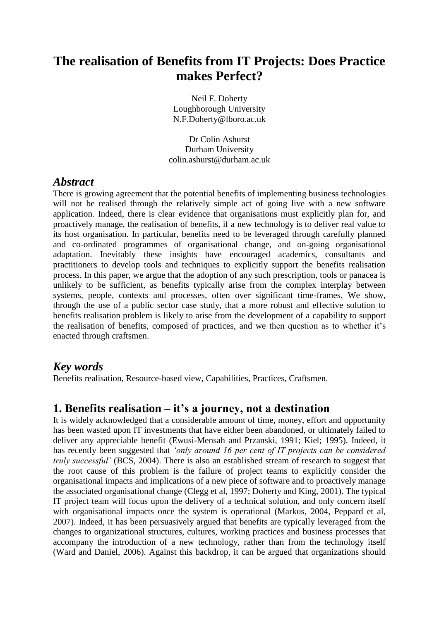## **The realisation of Benefits from IT Projects: Does Practice makes Perfect?**

Neil F. Doherty Loughborough University [N.F.Doherty@lboro.ac.uk](mailto:N.F.Doherty@lboro.ac.uk)

Dr Colin Ashurst Durham University colin.ashurst@durham.ac.uk

## *Abstract*

There is growing agreement that the potential benefits of implementing business technologies will not be realised through the relatively simple act of going live with a new software application. Indeed, there is clear evidence that organisations must explicitly plan for, and proactively manage, the realisation of benefits, if a new technology is to deliver real value to its host organisation. In particular, benefits need to be leveraged through carefully planned and co-ordinated programmes of organisational change, and on-going organisational adaptation. Inevitably these insights have encouraged academics, consultants and practitioners to develop tools and techniques to explicitly support the benefits realisation process. In this paper, we argue that the adoption of any such prescription, tools or panacea is unlikely to be sufficient, as benefits typically arise from the complex interplay between systems, people, contexts and processes, often over significant time-frames. We show, through the use of a public sector case study, that a more robust and effective solution to benefits realisation problem is likely to arise from the development of a capability to support the realisation of benefits, composed of practices, and we then question as to whether it"s enacted through craftsmen.

## *Key words*

Benefits realisation, Resource-based view, Capabilities, Practices, Craftsmen.

## **1. Benefits realisation – it's a journey, not a destination**

It is widely acknowledged that a considerable amount of time, money, effort and opportunity has been wasted upon IT investments that have either been abandoned, or ultimately failed to deliver any appreciable benefit (Ewusi-Mensah and Przanski, 1991; Kiel; 1995). Indeed, it has recently been suggested that *"only around 16 per cent of IT projects can be considered truly successful"* (BCS, 2004). There is also an established stream of research to suggest that the root cause of this problem is the failure of project teams to explicitly consider the organisational impacts and implications of a new piece of software and to proactively manage the associated organisational change (Clegg et al, 1997; Doherty and King, 2001). The typical IT project team will focus upon the delivery of a technical solution, and only concern itself with organisational impacts once the system is operational (Markus, 2004, Peppard et al, 2007). Indeed, it has been persuasively argued that benefits are typically leveraged from the changes to organizational structures, cultures, working practices and business processes that accompany the introduction of a new technology, rather than from the technology itself (Ward and Daniel, 2006). Against this backdrop, it can be argued that organizations should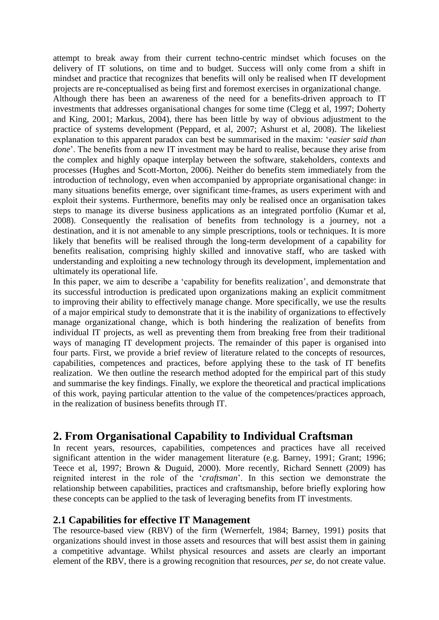attempt to break away from their current techno-centric mindset which focuses on the delivery of IT solutions, on time and to budget. Success will only come from a shift in mindset and practice that recognizes that benefits will only be realised when IT development projects are re-conceptualised as being first and foremost exercises in organizational change. Although there has been an awareness of the need for a benefits-driven approach to IT investments that addresses organisational changes for some time (Clegg et al, 1997; Doherty and King, 2001; Markus, 2004), there has been little by way of obvious adjustment to the practice of systems development (Peppard, et al, 2007; Ashurst et al, 2008). The likeliest explanation to this apparent paradox can best be summarised in the maxim: "*easier said than done*". The benefits from a new IT investment may be hard to realise, because they arise from the complex and highly opaque interplay between the software, stakeholders, contexts and processes (Hughes and Scott-Morton, 2006). Neither do benefits stem immediately from the introduction of technology, even when accompanied by appropriate organisational change: in many situations benefits emerge, over significant time-frames, as users experiment with and exploit their systems. Furthermore, benefits may only be realised once an organisation takes steps to manage its diverse business applications as an integrated portfolio (Kumar et al, 2008). Consequently the realisation of benefits from technology is a journey, not a destination, and it is not amenable to any simple prescriptions, tools or techniques. It is more likely that benefits will be realised through the long-term development of a capability for benefits realisation, comprising highly skilled and innovative staff, who are tasked with understanding and exploiting a new technology through its development, implementation and ultimately its operational life.

In this paper, we aim to describe a 'capability for benefits realization', and demonstrate that its successful introduction is predicated upon organizations making an explicit commitment to improving their ability to effectively manage change. More specifically, we use the results of a major empirical study to demonstrate that it is the inability of organizations to effectively manage organizational change, which is both hindering the realization of benefits from individual IT projects, as well as preventing them from breaking free from their traditional ways of managing IT development projects. The remainder of this paper is organised into four parts. First, we provide a brief review of literature related to the concepts of resources, capabilities, competences and practices, before applying these to the task of IT benefits realization. We then outline the research method adopted for the empirical part of this study and summarise the key findings. Finally, we explore the theoretical and practical implications of this work, paying particular attention to the value of the competences/practices approach, in the realization of business benefits through IT.

## **2. From Organisational Capability to Individual Craftsman**

In recent years, resources, capabilities, competences and practices have all received significant attention in the wider management literature (e.g. Barney, 1991; Grant; 1996; Teece et al, 1997; Brown & Duguid, 2000). More recently, Richard Sennett (2009) has reignited interest in the role of the "*craftsman*". In this section we demonstrate the relationship between capabilities, practices and craftsmanship, before briefly exploring how these concepts can be applied to the task of leveraging benefits from IT investments.

#### **2.1 Capabilities for effective IT Management**

The resource-based view (RBV) of the firm (Wernerfelt, 1984; Barney, 1991) posits that organizations should invest in those assets and resources that will best assist them in gaining a competitive advantage. Whilst physical resources and assets are clearly an important element of the RBV, there is a growing recognition that resources, *per se*, do not create value.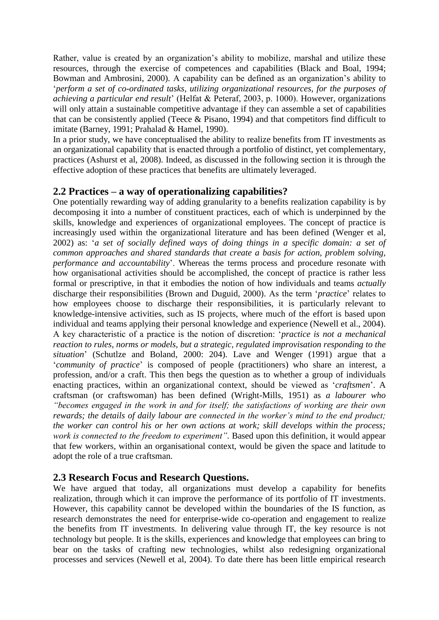Rather, value is created by an organization's ability to mobilize, marshal and utilize these resources, through the exercise of competences and capabilities (Black and Boal, 1994; Bowman and Ambrosini, 2000). A capability can be defined as an organization's ability to "*perform a set of co-ordinated tasks, utilizing organizational resources, for the purposes of achieving a particular end result*" (Helfat & Peteraf, 2003, p. 1000). However, organizations will only attain a sustainable competitive advantage if they can assemble a set of capabilities that can be consistently applied (Teece & Pisano, 1994) and that competitors find difficult to imitate (Barney, 1991; Prahalad & Hamel, 1990).

In a prior study, we have conceptualised the ability to realize benefits from IT investments as an organizational capability that is enacted through a portfolio of distinct, yet complementary, practices (Ashurst et al, 2008). Indeed, as discussed in the following section it is through the effective adoption of these practices that benefits are ultimately leveraged.

#### **2.2 Practices – a way of operationalizing capabilities?**

One potentially rewarding way of adding granularity to a benefits realization capability is by decomposing it into a number of constituent practices, each of which is underpinned by the skills, knowledge and experiences of organizational employees. The concept of practice is increasingly used within the organizational literature and has been defined (Wenger et al, 2002) as: "*a set of socially defined ways of doing things in a specific domain: a set of common approaches and shared standards that create a basis for action, problem solving, performance and accountability*'. Whereas the terms process and procedure resonate with how organisational activities should be accomplished, the concept of practice is rather less formal or prescriptive, in that it embodies the notion of how individuals and teams *actually* discharge their responsibilities (Brown and Duguid, 2000). As the term "*practice*" relates to how employees choose to discharge their responsibilities, it is particularly relevant to knowledge-intensive activities, such as IS projects, where much of the effort is based upon individual and teams applying their personal knowledge and experience (Newell et al., 2004). A key characteristic of a practice is the notion of discretion: "*practice is not a mechanical reaction to rules, norms or models, but a strategic, regulated improvisation responding to the situation*" (Schutlze and Boland, 2000: 204). Lave and Wenger (1991) argue that a "*community of practice*" is composed of people (practitioners) who share an interest, a profession, and/or a craft. This then begs the question as to whether a group of individuals enacting practices, within an organizational context, should be viewed as "*craftsmen*". A craftsman (or craftswoman) has been defined (Wright-Mills, 1951) as *a labourer who "becomes engaged in the work in and for itself; the satisfactions of working are their own rewards; the details of daily labour are connected in the worker"s mind to the end product; the worker can control his or her own actions at work; skill develops within the process; work is connected to the freedom to experiment*". Based upon this definition, it would appear that few workers, within an organisational context, would be given the space and latitude to adopt the role of a true craftsman.

#### **2.3 Research Focus and Research Questions.**

We have argued that today, all organizations must develop a capability for benefits realization, through which it can improve the performance of its portfolio of IT investments. However, this capability cannot be developed within the boundaries of the IS function, as research demonstrates the need for enterprise-wide co-operation and engagement to realize the benefits from IT investments. In delivering value through IT, the key resource is not technology but people. It is the skills, experiences and knowledge that employees can bring to bear on the tasks of crafting new technologies, whilst also redesigning organizational processes and services (Newell et al, 2004). To date there has been little empirical research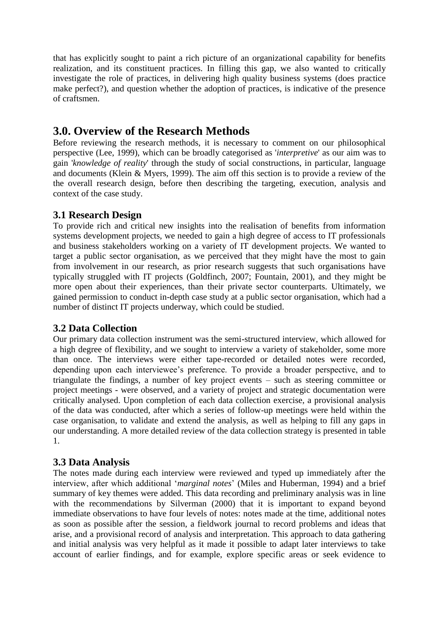that has explicitly sought to paint a rich picture of an organizational capability for benefits realization, and its constituent practices. In filling this gap, we also wanted to critically investigate the role of practices, in delivering high quality business systems (does practice make perfect?), and question whether the adoption of practices, is indicative of the presence of craftsmen.

## **3.0. Overview of the Research Methods**

Before reviewing the research methods, it is necessary to comment on our philosophical perspective (Lee, 1999), which can be broadly categorised as '*interpretive*' as our aim was to gain '*knowledge of reality*' through the study of social constructions, in particular, language and documents (Klein & Myers, 1999). The aim off this section is to provide a review of the the overall research design, before then describing the targeting, execution, analysis and context of the case study.

## **3.1 Research Design**

To provide rich and critical new insights into the realisation of benefits from information systems development projects, we needed to gain a high degree of access to IT professionals and business stakeholders working on a variety of IT development projects. We wanted to target a public sector organisation, as we perceived that they might have the most to gain from involvement in our research, as prior research suggests that such organisations have typically struggled with IT projects (Goldfinch, 2007; Fountain, 2001), and they might be more open about their experiences, than their private sector counterparts. Ultimately, we gained permission to conduct in-depth case study at a public sector organisation, which had a number of distinct IT projects underway, which could be studied.

## **3.2 Data Collection**

Our primary data collection instrument was the semi-structured interview, which allowed for a high degree of flexibility, and we sought to interview a variety of stakeholder, some more than once. The interviews were either tape-recorded or detailed notes were recorded, depending upon each interviewee"s preference. To provide a broader perspective, and to triangulate the findings, a number of key project events – such as steering committee or project meetings - were observed, and a variety of project and strategic documentation were critically analysed. Upon completion of each data collection exercise, a provisional analysis of the data was conducted, after which a series of follow-up meetings were held within the case organisation, to validate and extend the analysis, as well as helping to fill any gaps in our understanding. A more detailed review of the data collection strategy is presented in table 1.

## **3.3 Data Analysis**

The notes made during each interview were reviewed and typed up immediately after the interview, after which additional "*marginal notes*" (Miles and Huberman, 1994) and a brief summary of key themes were added. This data recording and preliminary analysis was in line with the recommendations by Silverman (2000) that it is important to expand beyond immediate observations to have four levels of notes: notes made at the time, additional notes as soon as possible after the session, a fieldwork journal to record problems and ideas that arise, and a provisional record of analysis and interpretation. This approach to data gathering and initial analysis was very helpful as it made it possible to adapt later interviews to take account of earlier findings, and for example, explore specific areas or seek evidence to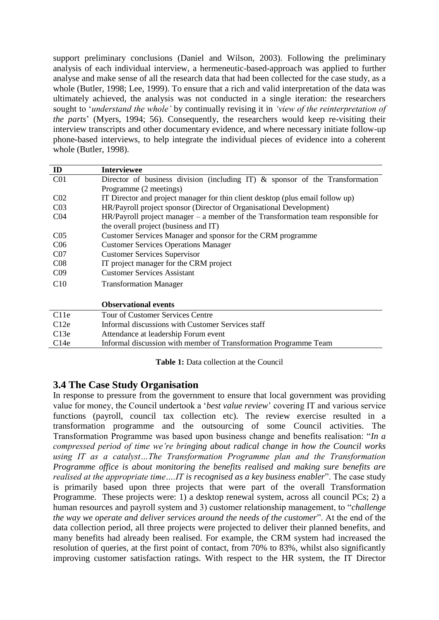support preliminary conclusions (Daniel and Wilson, 2003). Following the preliminary analysis of each individual interview, a hermeneutic-based-approach was applied to further analyse and make sense of all the research data that had been collected for the case study, as a whole (Butler, 1998; Lee, 1999). To ensure that a rich and valid interpretation of the data was ultimately achieved, the analysis was not conducted in a single iteration: the researchers sought to "*understand the whole"* by continually revising it in *"view of the reinterpretation of the parts*" (Myers, 1994; 56). Consequently, the researchers would keep re-visiting their interview transcripts and other documentary evidence, and where necessary initiate follow-up phone-based interviews, to help integrate the individual pieces of evidence into a coherent whole (Butler, 1998).

| ID               | <b>Interviewee</b>                                                                 |
|------------------|------------------------------------------------------------------------------------|
| C <sub>01</sub>  | Director of business division (including IT) $\&$ sponsor of the Transformation    |
|                  | Programme (2 meetings)                                                             |
| CO <sub>2</sub>  | IT Director and project manager for thin client desktop (plus email follow up)     |
| CO <sub>3</sub>  | HR/Payroll project sponsor (Director of Organisational Development)                |
| CO <sub>4</sub>  | $HR/Payroll$ project manager – a member of the Transformation team responsible for |
|                  | the overall project (business and IT)                                              |
| C <sub>05</sub>  | Customer Services Manager and sponsor for the CRM programme                        |
| C <sub>06</sub>  | <b>Customer Services Operations Manager</b>                                        |
| CO <sub>7</sub>  | <b>Customer Services Supervisor</b>                                                |
| CO8              | IT project manager for the CRM project                                             |
| C <sub>09</sub>  | <b>Customer Services Assistant</b>                                                 |
| C10              | <b>Transformation Manager</b>                                                      |
|                  |                                                                                    |
|                  | <b>Observational events</b>                                                        |
| C <sub>11e</sub> | Tour of Customer Services Centre                                                   |
| C12e             | Informal discussions with Customer Services staff                                  |
| C13e             | Attendance at leadership Forum event                                               |
| C14e             | Informal discussion with member of Transformation Programme Team                   |

**Table 1:** Data collection at the Council

#### **3.4 The Case Study Organisation**

In response to pressure from the government to ensure that local government was providing value for money, the Council undertook a "*best value review*" covering IT and various service functions (payroll, council tax collection etc). The review exercise resulted in a transformation programme and the outsourcing of some Council activities. The Transformation Programme was based upon business change and benefits realisation: "*In a compressed period of time we"re bringing about radical change in how the Council works using IT as a catalyst…The Transformation Programme plan and the Transformation Programme office is about monitoring the benefits realised and making sure benefits are realised at the appropriate time….IT is recognised as a key business enabler*". The case study is primarily based upon three projects that were part of the overall Transformation Programme. These projects were: 1) a desktop renewal system, across all council PCs; 2) a human resources and payroll system and 3) customer relationship management, to "*challenge the way we operate and deliver services around the needs of the customer*". At the end of the data collection period, all three projects were projected to deliver their planned benefits, and many benefits had already been realised. For example, the CRM system had increased the resolution of queries, at the first point of contact, from 70% to 83%, whilst also significantly improving customer satisfaction ratings. With respect to the HR system, the IT Director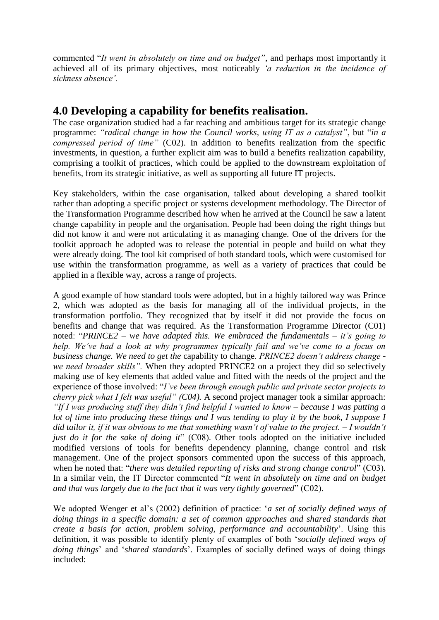commented "*It went in absolutely on time and on budget"*, and perhaps most importantly it achieved all of its primary objectives, most noticeably *"a reduction in the incidence of sickness absence".*

## **4.0 Developing a capability for benefits realisation.**

The case organization studied had a far reaching and ambitious target for its strategic change programme: *"radical change in how the Council works, using IT as a catalyst"*, but "*in a compressed period of time"* (C02). In addition to benefits realization from the specific investments, in question, a further explicit aim was to build a benefits realization capability, comprising a toolkit of practices, which could be applied to the downstream exploitation of benefits, from its strategic initiative, as well as supporting all future IT projects.

Key stakeholders, within the case organisation, talked about developing a shared toolkit rather than adopting a specific project or systems development methodology. The Director of the Transformation Programme described how when he arrived at the Council he saw a latent change capability in people and the organisation. People had been doing the right things but did not know it and were not articulating it as managing change. One of the drivers for the toolkit approach he adopted was to release the potential in people and build on what they were already doing. The tool kit comprised of both standard tools, which were customised for use within the transformation programme, as well as a variety of practices that could be applied in a flexible way, across a range of projects.

A good example of how standard tools were adopted, but in a highly tailored way was Prince 2, which was adopted as the basis for managing all of the individual projects, in the transformation portfolio. They recognized that by itself it did not provide the focus on benefits and change that was required. As the Transformation Programme Director (C01) noted: "*PRINCE2 – we have adapted this. We embraced the fundamentals – it"s going to help. We've had a look at why programmes typically fail and we've come to a focus on business change. We need to get the* capability to change*. PRINCE2 doesn"t address change we need broader skills".* When they adopted PRINCE2 on a project they did so selectively making use of key elements that added value and fitted with the needs of the project and the experience of those involved: "*I"ve been through enough public and private sector projects to cherry pick what I felt was useful" (C04).* A second project manager took a similar approach: *"If I was producing stuff they didn"t find helpful I wanted to know – because I was putting a lot of time into producing these things and I was tending to play it by the book, I suppose I did tailor it, if it was obvious to me that something wasn"t of value to the project. – I wouldn"t just do it for the sake of doing it*" (C08). Other tools adopted on the initiative included modified versions of tools for benefits dependency planning, change control and risk management. One of the project sponsors commented upon the success of this approach, when he noted that: "*there was detailed reporting of risks and strong change control*" (C03). In a similar vein, the IT Director commented "*It went in absolutely on time and on budget and that was largely due to the fact that it was very tightly governed*" (C02).

We adopted Wenger et al's (2002) definition of practice: *'a set of socially defined ways of doing things in a specific domain: a set of common approaches and shared standards that create a basis for action, problem solving, performance and accountability*". Using this definition, it was possible to identify plenty of examples of both "*socially defined ways of doing things*" and "*shared standards*". Examples of socially defined ways of doing things included: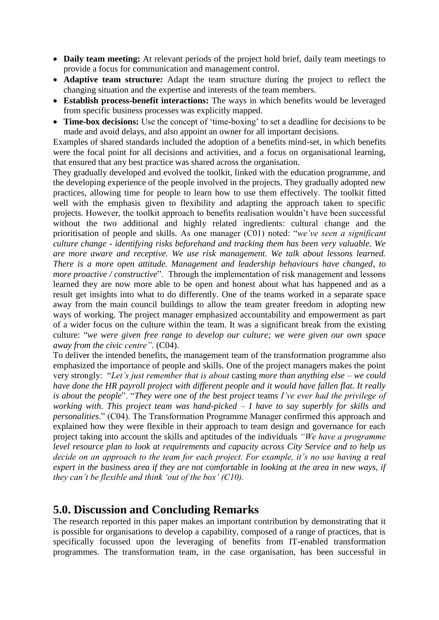- **Daily team meeting:** At relevant periods of the project hold brief, daily team meetings to provide a focus for communication and management control.
- **Adaptive team structure:** Adapt the team structure during the project to reflect the changing situation and the expertise and interests of the team members.
- **Establish process-benefit interactions:** The ways in which benefits would be leveraged from specific business processes was explicitly mapped.
- **Time-box decisions:** Use the concept of 'time-boxing' to set a deadline for decisions to be made and avoid delays, and also appoint an owner for all important decisions.

Examples of shared standards included the adoption of a benefits mind-set, in which benefits were the focal point for all decisions and activities, and a focus on organisational learning, that ensured that any best practice was shared across the organisation.

They gradually developed and evolved the toolkit, linked with the education programme, and the developing experience of the people involved in the projects. They gradually adopted new practices, allowing time for people to learn how to use them effectively. The toolkit fitted well with the emphasis given to flexibility and adapting the approach taken to specific projects. However, the toolkit approach to benefits realisation wouldn"t have been successful without the two additional and highly related ingredients: cultural change and the prioritisation of people and skills. As one manager (C01) noted: "*we"ve seen a significant culture change - identifying risks beforehand and tracking them has been very valuable. We are more aware and receptive. We use risk management. We talk about lessons learned. There is a more open attitude. Management and leadership behaviours have changed, to more proactive / constructive*". Through the implementation of risk management and lessons learned they are now more able to be open and honest about what has happened and as a result get insights into what to do differently. One of the teams worked in a separate space away from the main council buildings to allow the team greater freedom in adopting new ways of working. The project manager emphasized accountability and empowerment as part of a wider focus on the culture within the team. It was a significant break from the existing culture: "*we were given free range to develop our culture; we were given our own space away from the civic centre"*. (C04).

To deliver the intended benefits, the management team of the transformation programme also emphasized the importance of people and skills. One of the project managers makes the point very strongly: "*Let"s just remember that is about* casting *more than anything else – we could have done the HR payroll project with different people and it would have fallen flat. It really is about the people*". "*They were one of the best project* teams *I"ve ever had the privilege of working with*. *This project team was hand-picked – I have to say superbly for skills and personalities*." (C04). The Transformation Programme Manager confirmed this approach and explained how they were flexible in their approach to team design and governance for each project taking into account the skills and aptitudes of the individuals *"We have a programme level resource plan to look at requirements and capacity across City Service and to help us decide on an approach to the team for each project. For example, it's no use having a real expert in the business area if they are not comfortable in looking at the area in new ways, if they can"t be flexible and think "out of the box" (C10).* 

## **5.0. Discussion and Concluding Remarks**

The research reported in this paper makes an important contribution by demonstrating that it is possible for organisations to develop a capability, composed of a range of practices, that is specifically focussed upon the leveraging of benefits from IT-enabled transformation programmes. The transformation team, in the case organisation, has been successful in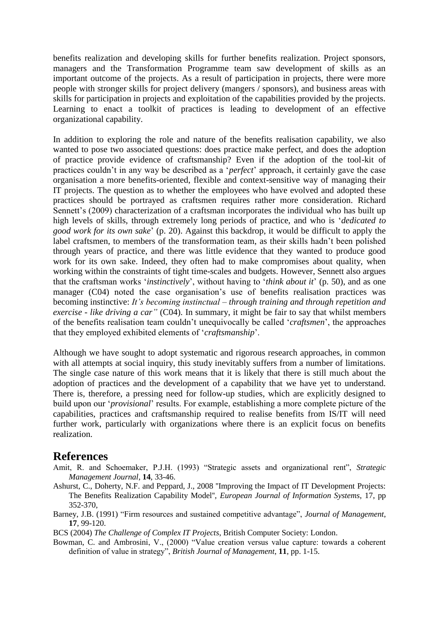benefits realization and developing skills for further benefits realization. Project sponsors, managers and the Transformation Programme team saw development of skills as an important outcome of the projects. As a result of participation in projects, there were more people with stronger skills for project delivery (mangers / sponsors), and business areas with skills for participation in projects and exploitation of the capabilities provided by the projects. Learning to enact a toolkit of practices is leading to development of an effective organizational capability.

In addition to exploring the role and nature of the benefits realisation capability, we also wanted to pose two associated questions: does practice make perfect, and does the adoption of practice provide evidence of craftsmanship? Even if the adoption of the tool-kit of practices couldn"t in any way be described as a "*perfect*" approach, it certainly gave the case organisation a more benefits-oriented, flexible and context-sensitive way of managing their IT projects. The question as to whether the employees who have evolved and adopted these practices should be portrayed as craftsmen requires rather more consideration. Richard Sennett's (2009) characterization of a craftsman incorporates the individual who has built up high levels of skills, through extremely long periods of practice, and who is "*dedicated to good work for its own sake*" (p. 20). Against this backdrop, it would be difficult to apply the label craftsmen, to members of the transformation team, as their skills hadn"t been polished through years of practice, and there was little evidence that they wanted to produce good work for its own sake. Indeed, they often had to make compromises about quality, when working within the constraints of tight time-scales and budgets. However, Sennett also argues that the craftsman works "*instinctively*", without having to "*think about it*" (p. 50), and as one manager (C04) noted the case organisation"s use of benefits realisation practices was becoming instinctive: *It"s becoming instinctual – through training and through repetition and exercise - like driving a car"* (C04). In summary, it might be fair to say that whilst members of the benefits realisation team couldn"t unequivocally be called "*craftsmen*", the approaches that they employed exhibited elements of "*craftsmanship*".

Although we have sought to adopt systematic and rigorous research approaches, in common with all attempts at social inquiry, this study inevitably suffers from a number of limitations. The single case nature of this work means that it is likely that there is still much about the adoption of practices and the development of a capability that we have yet to understand. There is, therefore, a pressing need for follow-up studies, which are explicitly designed to build upon our "*provisional*" results. For example, establishing a more complete picture of the capabilities, practices and craftsmanship required to realise benefits from IS/IT will need further work, particularly with organizations where there is an explicit focus on benefits realization.

## **References**

- Amit, R. and Schoemaker, P.J.H. (1993) "Strategic assets and organizational rent", *Strategic Management Journal*, **14**, 33-46.
- Ashurst, C., Doherty, N.F. and Peppard, J., 2008 ''Improving the Impact of IT Development Projects: The Benefits Realization Capability Model'', *European Journal of Information Systems*, 17, pp 352-370,
- Barney, J.B. (1991) "Firm resources and sustained competitive advantage", *Journal of Management*, **17**, 99-120.

BCS (2004) *The Challenge of Complex IT Projects*, British Computer Society: London.

Bowman, C. and Ambrosini, V., (2000) "Value creation versus value capture: towards a coherent definition of value in strategy", *British Journal of Management*, **11**, pp. 1-15.